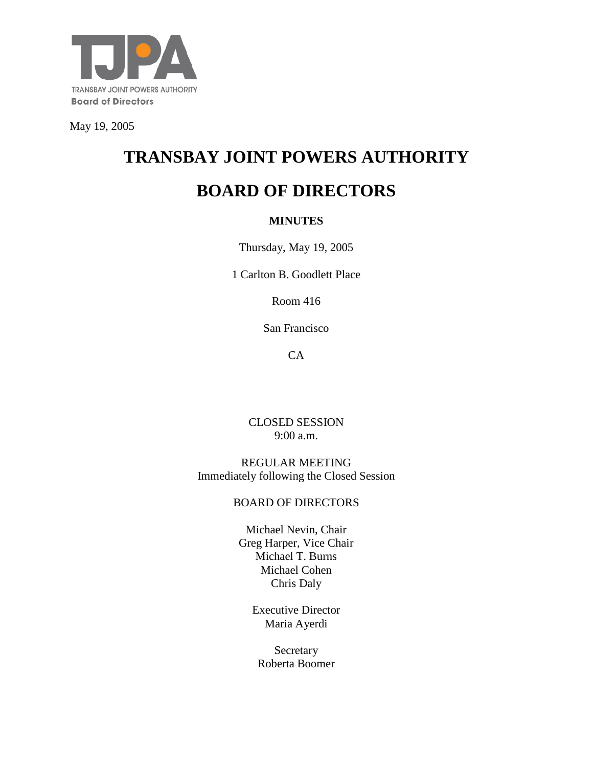

May 19, 2005

# **TRANSBAY JOINT POWERS AUTHORITY**

# **BOARD OF DIRECTORS**

#### **MINUTES**

Thursday, May 19, 2005

1 Carlton B. Goodlett Place

Room 416

San Francisco

CA

CLOSED SESSION 9:00 a.m.

REGULAR MEETING Immediately following the Closed Session

#### BOARD OF DIRECTORS

Michael Nevin, Chair Greg Harper, Vice Chair Michael T. Burns Michael Cohen Chris Daly

> Executive Director Maria Ayerdi

Secretary Roberta Boomer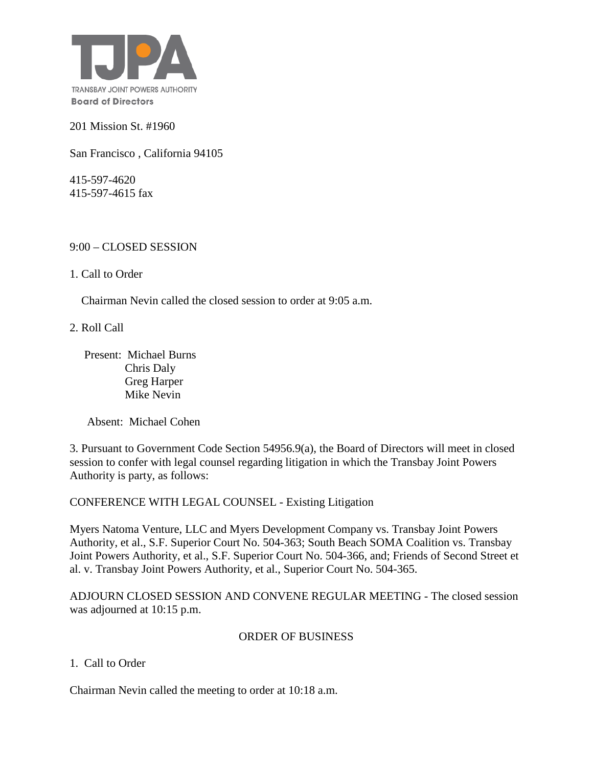

201 Mission St. #1960

San Francisco , California 94105

415-597-4620 415-597-4615 fax

#### 9:00 – CLOSED SESSION

1. Call to Order

Chairman Nevin called the closed session to order at 9:05 a.m.

2. Roll Call

 Present: Michael Burns Chris Daly Greg Harper Mike Nevin

Absent: Michael Cohen

3. Pursuant to Government Code Section 54956.9(a), the Board of Directors will meet in closed session to confer with legal counsel regarding litigation in which the Transbay Joint Powers Authority is party, as follows:

CONFERENCE WITH LEGAL COUNSEL - Existing Litigation

Myers Natoma Venture, LLC and Myers Development Company vs. Transbay Joint Powers Authority, et al., S.F. Superior Court No. 504-363; South Beach SOMA Coalition vs. Transbay Joint Powers Authority, et al., S.F. Superior Court No. 504-366, and; Friends of Second Street et al. v. Transbay Joint Powers Authority, et al., Superior Court No. 504-365.

ADJOURN CLOSED SESSION AND CONVENE REGULAR MEETING - The closed session was adjourned at 10:15 p.m.

#### ORDER OF BUSINESS

1. Call to Order

Chairman Nevin called the meeting to order at 10:18 a.m.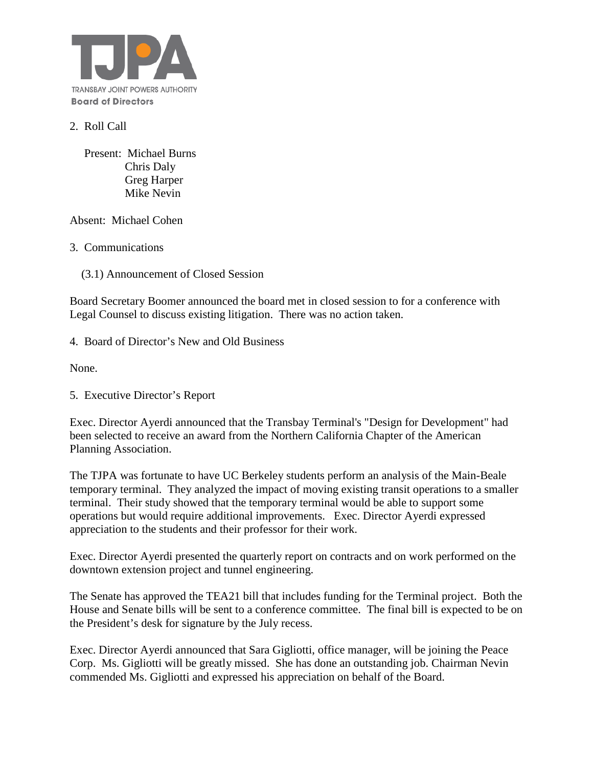

#### 2. Roll Call

 Present: Michael Burns Chris Daly Greg Harper Mike Nevin

Absent: Michael Cohen

3. Communications

(3.1) Announcement of Closed Session

Board Secretary Boomer announced the board met in closed session to for a conference with Legal Counsel to discuss existing litigation. There was no action taken.

4. Board of Director's New and Old Business

None.

5. Executive Director's Report

Exec. Director Ayerdi announced that the Transbay Terminal's "Design for Development" had been selected to receive an award from the Northern California Chapter of the American Planning Association.

The TJPA was fortunate to have UC Berkeley students perform an analysis of the Main-Beale temporary terminal. They analyzed the impact of moving existing transit operations to a smaller terminal. Their study showed that the temporary terminal would be able to support some operations but would require additional improvements. Exec. Director Ayerdi expressed appreciation to the students and their professor for their work.

Exec. Director Ayerdi presented the quarterly report on contracts and on work performed on the downtown extension project and tunnel engineering.

The Senate has approved the TEA21 bill that includes funding for the Terminal project. Both the House and Senate bills will be sent to a conference committee. The final bill is expected to be on the President's desk for signature by the July recess.

Exec. Director Ayerdi announced that Sara Gigliotti, office manager, will be joining the Peace Corp. Ms. Gigliotti will be greatly missed. She has done an outstanding job. Chairman Nevin commended Ms. Gigliotti and expressed his appreciation on behalf of the Board.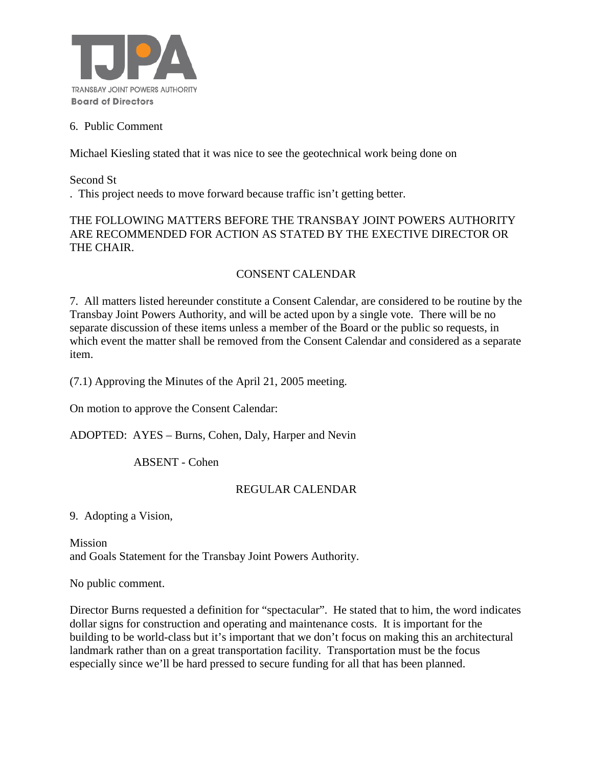

#### 6. Public Comment

Michael Kiesling stated that it was nice to see the geotechnical work being done on

Second St . This project needs to move forward because traffic isn't getting better.

#### THE FOLLOWING MATTERS BEFORE THE TRANSBAY JOINT POWERS AUTHORITY ARE RECOMMENDED FOR ACTION AS STATED BY THE EXECTIVE DIRECTOR OR THE CHAIR.

## CONSENT CALENDAR

7. All matters listed hereunder constitute a Consent Calendar, are considered to be routine by the Transbay Joint Powers Authority, and will be acted upon by a single vote. There will be no separate discussion of these items unless a member of the Board or the public so requests, in which event the matter shall be removed from the Consent Calendar and considered as a separate item.

(7.1) Approving the Minutes of the April 21, 2005 meeting.

On motion to approve the Consent Calendar:

ADOPTED: AYES – Burns, Cohen, Daly, Harper and Nevin

ABSENT - Cohen

### REGULAR CALENDAR

9. Adopting a Vision,

Mission and Goals Statement for the Transbay Joint Powers Authority.

No public comment.

Director Burns requested a definition for "spectacular". He stated that to him, the word indicates dollar signs for construction and operating and maintenance costs. It is important for the building to be world-class but it's important that we don't focus on making this an architectural landmark rather than on a great transportation facility. Transportation must be the focus especially since we'll be hard pressed to secure funding for all that has been planned.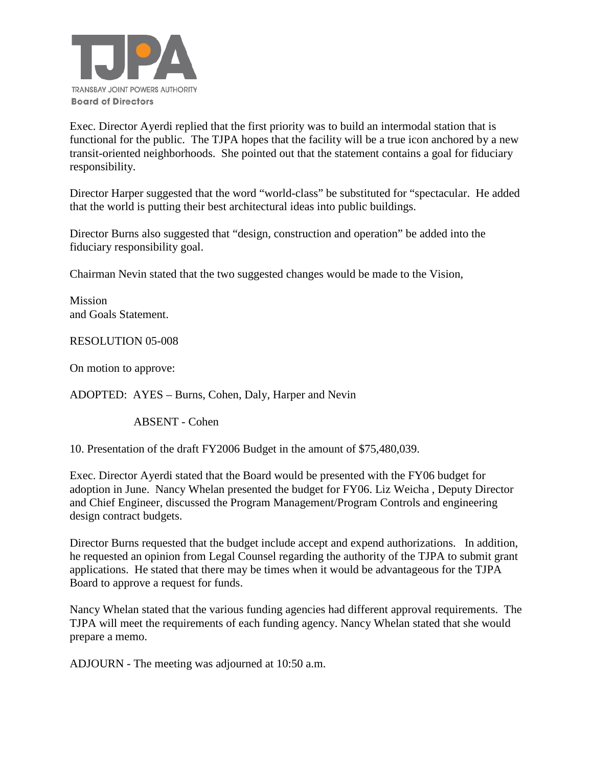

Exec. Director Ayerdi replied that the first priority was to build an intermodal station that is functional for the public. The TJPA hopes that the facility will be a true icon anchored by a new transit-oriented neighborhoods. She pointed out that the statement contains a goal for fiduciary responsibility.

Director Harper suggested that the word "world-class" be substituted for "spectacular. He added that the world is putting their best architectural ideas into public buildings.

Director Burns also suggested that "design, construction and operation" be added into the fiduciary responsibility goal.

Chairman Nevin stated that the two suggested changes would be made to the Vision,

Mission and Goals Statement.

RESOLUTION 05-008

On motion to approve:

ADOPTED: AYES – Burns, Cohen, Daly, Harper and Nevin

ABSENT - Cohen

10. Presentation of the draft FY2006 Budget in the amount of \$75,480,039.

Exec. Director Ayerdi stated that the Board would be presented with the FY06 budget for adoption in June. Nancy Whelan presented the budget for FY06. Liz Weicha , Deputy Director and Chief Engineer, discussed the Program Management/Program Controls and engineering design contract budgets.

Director Burns requested that the budget include accept and expend authorizations. In addition, he requested an opinion from Legal Counsel regarding the authority of the TJPA to submit grant applications. He stated that there may be times when it would be advantageous for the TJPA Board to approve a request for funds.

Nancy Whelan stated that the various funding agencies had different approval requirements. The TJPA will meet the requirements of each funding agency. Nancy Whelan stated that she would prepare a memo.

ADJOURN - The meeting was adjourned at 10:50 a.m.